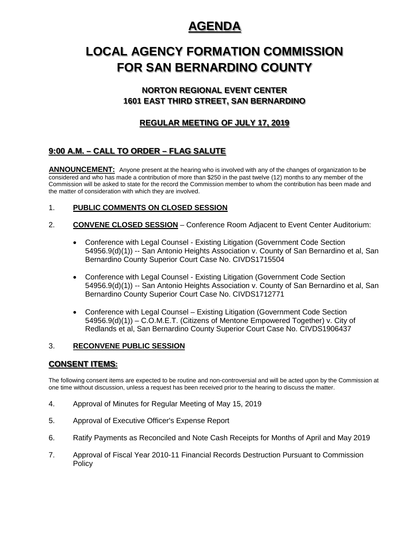# **AGENDA**

# **LOCAL AGENCY FORMATION COMMISSION FOR SAN BERNARDINO COUNTY**

# **NORTON REGIONAL EVENT CENTER 1601 EAST THIRD STREET, SAN BERNARDINO**

# **REGULAR MEETING OF JULY 17, 2019**

# **9:00 A.M. – CALL TO ORDER – FLAG SALUTE**

**ANNOUNCEMENT:** Anyone present at the hearing who is involved with any of the changes of organization to be considered and who has made a contribution of more than \$250 in the past twelve (12) months to any member of the Commission will be asked to state for the record the Commission member to whom the contribution has been made and the matter of consideration with which they are involved.

## 1. **PUBLIC COMMENTS ON CLOSED SESSION**

- 2. **CONVENE CLOSED SESSION** Conference Room Adjacent to Event Center Auditorium:
	- Conference with Legal Counsel Existing Litigation (Government Code Section 54956.9(d)(1)) -- San Antonio Heights Association v. County of San Bernardino et al, San Bernardino County Superior Court Case No. CIVDS1715504
	- Conference with Legal Counsel Existing Litigation (Government Code Section 54956.9(d)(1)) -- San Antonio Heights Association v. County of San Bernardino et al, San Bernardino County Superior Court Case No. CIVDS1712771
	- Conference with Legal Counsel Existing Litigation (Government Code Section 54956.9(d)(1)) – C.O.M.E.T. (Citizens of Mentone Empowered Together) v. City of Redlands et al, San Bernardino County Superior Court Case No. CIVDS1906437

## 3. **RECONVENE PUBLIC SESSION**

## **CONSENT ITEMS:**

The following consent items are expected to be routine and non-controversial and will be acted upon by the Commission at one time without discussion, unless a request has been received prior to the hearing to discuss the matter.

- 4. Approval of Minutes for Regular Meeting of May 15, 2019
- 5. Approval of Executive Officer's Expense Report
- 6. Ratify Payments as Reconciled and Note Cash Receipts for Months of April and May 2019
- 7. Approval of Fiscal Year 2010-11 Financial Records Destruction Pursuant to Commission **Policy**